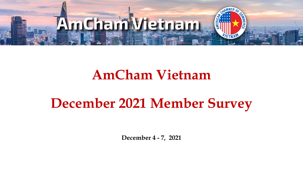

## **AmCham Vietnam**

# **December 2021 Member Survey**

**December 4 - 7, 2021**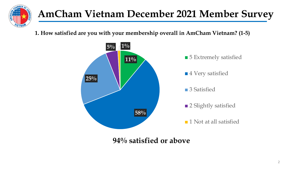

**1. How satisfied are you with your membership overall in AmCham Vietnam? (1-5)**

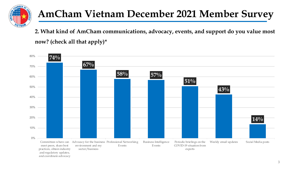

**2. What kind of AmCham communications, advocacy, events, and support do you value most now? (check all that apply)\***

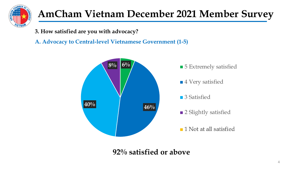

**3. How satisfied are you with advocacy?**

**A. Advocacy to Central-level Vietnamese Government (1-5)** 

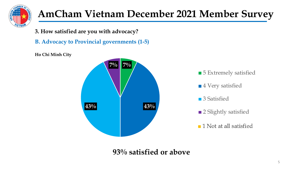

**3. How satisfied are you with advocacy?**

**B. Advocacy to Provincial governments (1-5)** 

**Ho Chi Minh City**

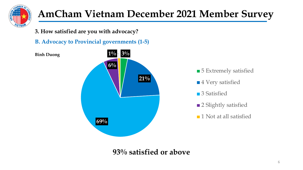

**3. How satisfied are you with advocacy?**

**B. Advocacy to Provincial governments (1-5)** 





■ 5 Extremely satisfied

- ■4 Very satisfied
- 3 Satisfied
- 2 Slightly satisfied
- ■1 Not at all satisfied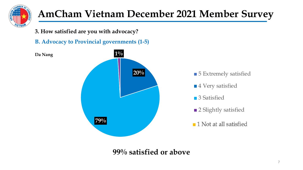

**3. How satisfied are you with advocacy?**

**B. Advocacy to Provincial governments (1-5)** 

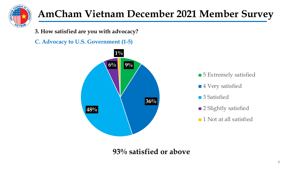

**3. How satisfied are you with advocacy?**

**C. Advocacy to U.S. Government (1-5)**



■ 5 Extremely satisfied

- ■4 Very satisfied
- 3 Satisfied
- 2 Slightly satisfied
- **1** Not at all satisfied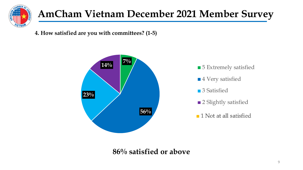

**4. How satisfied are you with committees? (1-5)**



■4 Very satisfied

■ 3 Satisfied

■ 2 Slightly satisfied

**1** Not at all satisfied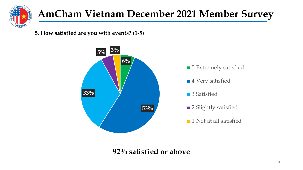

**5. How satisfied are you with events? (1-5)**





- ■4 Very satisfied
- 3 Satisfied
- 2 Slightly satisfied
- **1** Not at all satisfied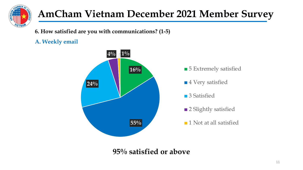

**6. How satisfied are you with communications? (1-5)**

#### **A. Weekly email**

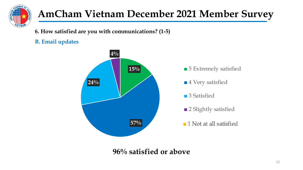

**6. How satisfied are you with communications? (1-5)**

#### **B. Email updates**

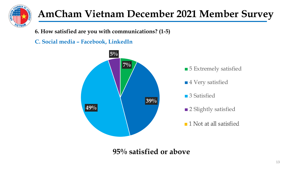

**6. How satisfied are you with communications? (1-5)**

**C. Social media – Facebook, LinkedIn**

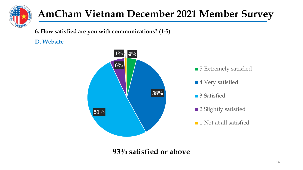

**6. How satisfied are you with communications? (1-5)**

#### **D. Website**

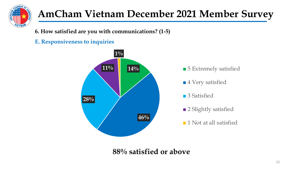

**6. How satisfied are you with communications? (1-5)**

#### **E. Responsiveness to inquiries**

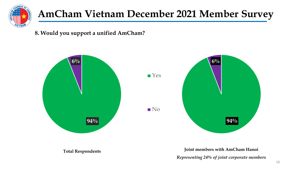

**8. Would you support a unified AmCham?**



**Total Respondents**

**Joint members with AmCham Hanoi** *Representing 24% of joint corporate members*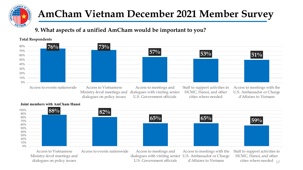

#### **9. What aspects of a unified AmCham would be important to you?**



#### **Joint members with AmCham Hanoi**

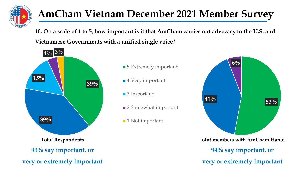

**10. On a scale of 1 to 5, how important is it that AmCham carries out advocacy to the U.S. and Vietnamese Governments with a unified single voice?**

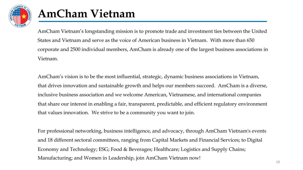

## **AmCham Vietnam**

AmCham Vietnam's longstanding mission is to promote trade and investment ties between the United States and Vietnam and serve as the voice of American business in Vietnam. With more than 650 corporate and 2500 individual members, AmCham is already one of the largest business associations in Vietnam.

AmCham's vision is to be the most influential, strategic, dynamic business associations in Vietnam, that drives innovation and sustainable growth and helps our members succeed. AmCham is a diverse, inclusive business association and we welcome American, Vietnamese, and international companies that share our interest in enabling a fair, transparent, predictable, and efficient regulatory environment that values innovation. We strive to be a community you want to join.

For professional networking, business intelligence, and advocacy, through AmCham Vietnam's events and 18 different sectoral committees, ranging from Capital Markets and Financial Services; to Digital Economy and Technology; ESG; Food & Beverages; Healthcare; Logistics and Supply Chains; Manufacturing; and Women in Leadership, join AmCham Vietnam now!